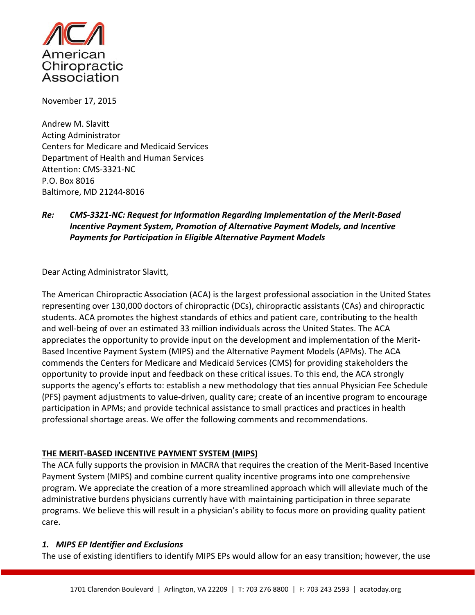

November 17, 2015

Andrew M. Slavitt Acting Administrator Centers for Medicare and Medicaid Services Department of Health and Human Services Attention: CMS‐3321‐NC P.O. Box 8016 Baltimore, MD 21244‐8016

# *Re: CMS‐3321‐NC: Request for Information Regarding Implementation of the Merit‐Based Incentive Payment System, Promotion of Alternative Payment Models, and Incentive Payments for Participation in Eligible Alternative Payment Models*

Dear Acting Administrator Slavitt,

The American Chiropractic Association (ACA) is the largest professional association in the United States representing over 130,000 doctors of chiropractic (DCs), chiropractic assistants (CAs) and chiropractic students. ACA promotes the highest standards of ethics and patient care, contributing to the health and well-being of over an estimated 33 million individuals across the United States. The ACA appreciates the opportunity to provide input on the development and implementation of the Merit‐ Based Incentive Payment System (MIPS) and the Alternative Payment Models (APMs). The ACA commends the Centers for Medicare and Medicaid Services (CMS) for providing stakeholders the opportunity to provide input and feedback on these critical issues. To this end, the ACA strongly supports the agency's efforts to: establish a new methodology that ties annual Physician Fee Schedule (PFS) payment adjustments to value‐driven, quality care; create of an incentive program to encourage participation in APMs; and provide technical assistance to small practices and practices in health professional shortage areas. We offer the following comments and recommendations.

### **THE MERIT‐BASED INCENTIVE PAYMENT SYSTEM (MIPS)**

The ACA fully supports the provision in MACRA that requires the creation of the Merit‐Based Incentive Payment System (MIPS) and combine current quality incentive programs into one comprehensive program. We appreciate the creation of a more streamlined approach which will alleviate much of the administrative burdens physicians currently have with maintaining participation in three separate programs. We believe this will result in a physician's ability to focus more on providing quality patient care.

### *1. MIPS EP Identifier and Exclusions*

The use of existing identifiers to identify MIPS EPs would allow for an easy transition; however, the use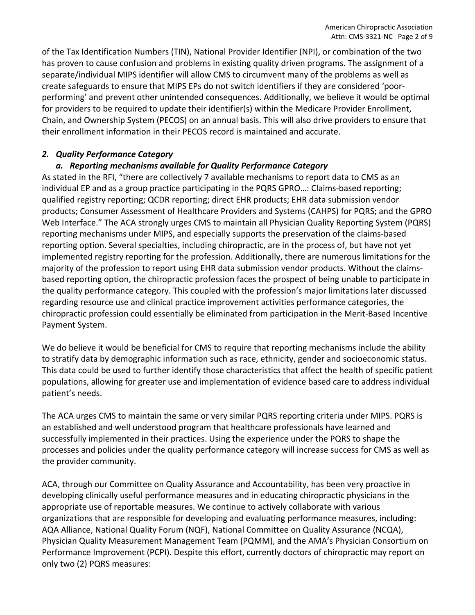of the Tax Identification Numbers (TIN), National Provider Identifier (NPI), or combination of the two has proven to cause confusion and problems in existing quality driven programs. The assignment of a separate/individual MIPS identifier will allow CMS to circumvent many of the problems as well as create safeguards to ensure that MIPS EPs do not switch identifiers if they are considered 'poor‐ performing' and prevent other unintended consequences. Additionally, we believe it would be optimal for providers to be required to update their identifier(s) within the Medicare Provider Enrollment, Chain, and Ownership System (PECOS) on an annual basis. This will also drive providers to ensure that their enrollment information in their PECOS record is maintained and accurate.

## *2. Quality Performance Category*

# *a. Reporting mechanisms available for Quality Performance Category*

As stated in the RFI, "there are collectively 7 available mechanisms to report data to CMS as an individual EP and as a group practice participating in the PQRS GPRO…: Claims‐based reporting; qualified registry reporting; QCDR reporting; direct EHR products; EHR data submission vendor products; Consumer Assessment of Healthcare Providers and Systems (CAHPS) for PQRS; and the GPRO Web Interface." The ACA strongly urges CMS to maintain all Physician Quality Reporting System (PQRS) reporting mechanisms under MIPS, and especially supports the preservation of the claims‐based reporting option. Several specialties, including chiropractic, are in the process of, but have not yet implemented registry reporting for the profession. Additionally, there are numerous limitations for the majority of the profession to report using EHR data submission vendor products. Without the claims‐ based reporting option, the chiropractic profession faces the prospect of being unable to participate in the quality performance category. This coupled with the profession's major limitations later discussed regarding resource use and clinical practice improvement activities performance categories, the chiropractic profession could essentially be eliminated from participation in the Merit‐Based Incentive Payment System.

We do believe it would be beneficial for CMS to require that reporting mechanisms include the ability to stratify data by demographic information such as race, ethnicity, gender and socioeconomic status. This data could be used to further identify those characteristics that affect the health of specific patient populations, allowing for greater use and implementation of evidence based care to address individual patient's needs.

The ACA urges CMS to maintain the same or very similar PQRS reporting criteria under MIPS. PQRS is an established and well understood program that healthcare professionals have learned and successfully implemented in their practices. Using the experience under the PQRS to shape the processes and policies under the quality performance category will increase success for CMS as well as the provider community.

ACA, through our Committee on Quality Assurance and Accountability, has been very proactive in developing clinically useful performance measures and in educating chiropractic physicians in the appropriate use of reportable measures. We continue to actively collaborate with various organizations that are responsible for developing and evaluating performance measures, including: AQA Alliance, National Quality Forum (NQF), National Committee on Quality Assurance (NCQA), Physician Quality Measurement Management Team (PQMM), and the AMA's Physician Consortium on Performance Improvement (PCPI). Despite this effort, currently doctors of chiropractic may report on only two (2) PQRS measures: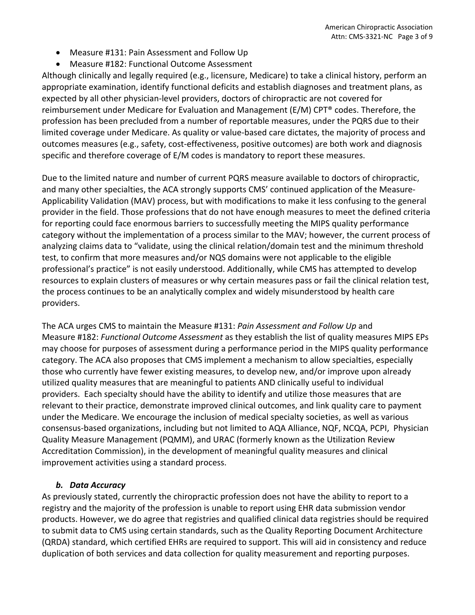- Measure #131: Pain Assessment and Follow Up
- Measure #182: Functional Outcome Assessment

Although clinically and legally required (e.g., licensure, Medicare) to take a clinical history, perform an appropriate examination, identify functional deficits and establish diagnoses and treatment plans, as expected by all other physician‐level providers, doctors of chiropractic are not covered for reimbursement under Medicare for Evaluation and Management (E/M) CPT® codes. Therefore, the profession has been precluded from a number of reportable measures, under the PQRS due to their limited coverage under Medicare. As quality or value‐based care dictates, the majority of process and outcomes measures (e.g., safety, cost‐effectiveness, positive outcomes) are both work and diagnosis specific and therefore coverage of E/M codes is mandatory to report these measures.

Due to the limited nature and number of current PQRS measure available to doctors of chiropractic, and many other specialties, the ACA strongly supports CMS' continued application of the Measure‐ Applicability Validation (MAV) process, but with modifications to make it less confusing to the general provider in the field. Those professions that do not have enough measures to meet the defined criteria for reporting could face enormous barriers to successfully meeting the MIPS quality performance category without the implementation of a process similar to the MAV; however, the current process of analyzing claims data to "validate, using the clinical relation/domain test and the minimum threshold test, to confirm that more measures and/or NQS domains were not applicable to the eligible professional's practice" is not easily understood. Additionally, while CMS has attempted to develop resources to explain clusters of measures or why certain measures pass or fail the clinical relation test, the process continues to be an analytically complex and widely misunderstood by health care providers.

The ACA urges CMS to maintain the Measure #131: *Pain Assessment and Follow Up* and Measure #182: *Functional Outcome Assessment* as they establish the list of quality measures MIPS EPs may choose for purposes of assessment during a performance period in the MIPS quality performance category. The ACA also proposes that CMS implement a mechanism to allow specialties, especially those who currently have fewer existing measures, to develop new, and/or improve upon already utilized quality measures that are meaningful to patients AND clinically useful to individual providers. Each specialty should have the ability to identify and utilize those measures that are relevant to their practice, demonstrate improved clinical outcomes, and link quality care to payment under the Medicare. We encourage the inclusion of medical specialty societies, as well as various consensus‐based organizations, including but not limited to AQA Alliance, NQF, NCQA, PCPI, Physician Quality Measure Management (PQMM), and URAC (formerly known as the Utilization Review Accreditation Commission), in the development of meaningful quality measures and clinical improvement activities using a standard process.

### *b. Data Accuracy*

As previously stated, currently the chiropractic profession does not have the ability to report to a registry and the majority of the profession is unable to report using EHR data submission vendor products. However, we do agree that registries and qualified clinical data registries should be required to submit data to CMS using certain standards, such as the Quality Reporting Document Architecture (QRDA) standard, which certified EHRs are required to support. This will aid in consistency and reduce duplication of both services and data collection for quality measurement and reporting purposes.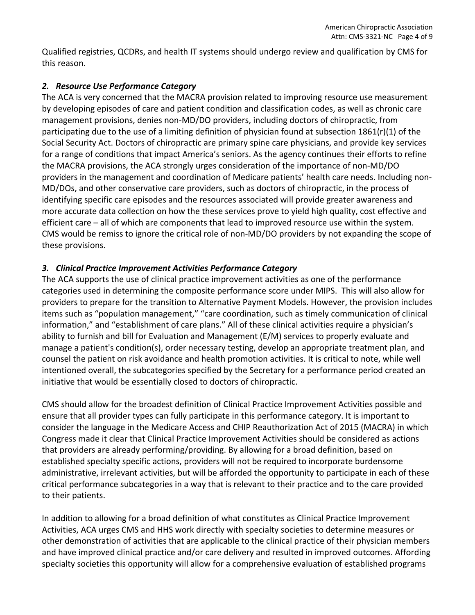Qualified registries, QCDRs, and health IT systems should undergo review and qualification by CMS for this reason.

## *2. Resource Use Performance Category*

The ACA is very concerned that the MACRA provision related to improving resource use measurement by developing episodes of care and patient condition and classification codes, as well as chronic care management provisions, denies non‐MD/DO providers, including doctors of chiropractic, from participating due to the use of a limiting definition of physician found at subsection  $1861(r)(1)$  of the Social Security Act. Doctors of chiropractic are primary spine care physicians, and provide key services for a range of conditions that impact America's seniors. As the agency continues their efforts to refine the MACRA provisions, the ACA strongly urges consideration of the importance of non‐MD/DO providers in the management and coordination of Medicare patients' health care needs. Including non‐ MD/DOs, and other conservative care providers, such as doctors of chiropractic, in the process of identifying specific care episodes and the resources associated will provide greater awareness and more accurate data collection on how the these services prove to yield high quality, cost effective and efficient care – all of which are components that lead to improved resource use within the system. CMS would be remiss to ignore the critical role of non‐MD/DO providers by not expanding the scope of these provisions.

# *3. Clinical Practice Improvement Activities Performance Category*

The ACA supports the use of clinical practice improvement activities as one of the performance categories used in determining the composite performance score under MIPS. This will also allow for providers to prepare for the transition to Alternative Payment Models. However, the provision includes items such as "population management," "care coordination, such as timely communication of clinical information," and "establishment of care plans." All of these clinical activities require a physician's ability to furnish and bill for Evaluation and Management (E/M) services to properly evaluate and manage a patient's condition(s), order necessary testing, develop an appropriate treatment plan, and counsel the patient on risk avoidance and health promotion activities. It is critical to note, while well intentioned overall, the subcategories specified by the Secretary for a performance period created an initiative that would be essentially closed to doctors of chiropractic.

CMS should allow for the broadest definition of Clinical Practice Improvement Activities possible and ensure that all provider types can fully participate in this performance category. It is important to consider the language in the Medicare Access and CHIP Reauthorization Act of 2015 (MACRA) in which Congress made it clear that Clinical Practice Improvement Activities should be considered as actions that providers are already performing/providing. By allowing for a broad definition, based on established specialty specific actions, providers will not be required to incorporate burdensome administrative, irrelevant activities, but will be afforded the opportunity to participate in each of these critical performance subcategories in a way that is relevant to their practice and to the care provided to their patients.

In addition to allowing for a broad definition of what constitutes as Clinical Practice Improvement Activities, ACA urges CMS and HHS work directly with specialty societies to determine measures or other demonstration of activities that are applicable to the clinical practice of their physician members and have improved clinical practice and/or care delivery and resulted in improved outcomes. Affording specialty societies this opportunity will allow for a comprehensive evaluation of established programs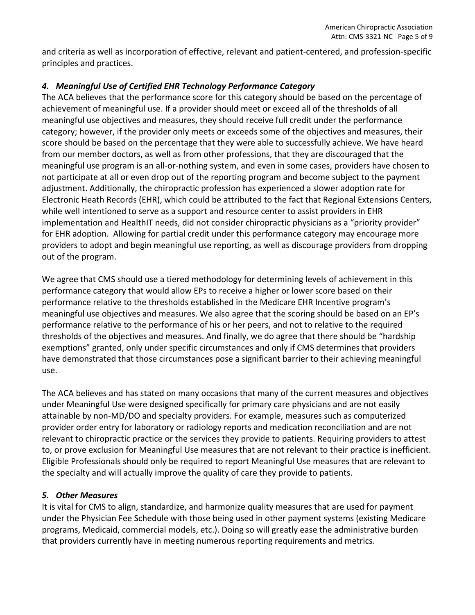and criteria as well as incorporation of effective, relevant and patient‐centered, and profession‐specific principles and practices.

# *4. Meaningful Use of Certified EHR Technology Performance Category*

The ACA believes that the performance score for this category should be based on the percentage of achievement of meaningful use. If a provider should meet or exceed all of the thresholds of all meaningful use objectives and measures, they should receive full credit under the performance category; however, if the provider only meets or exceeds some of the objectives and measures, their score should be based on the percentage that they were able to successfully achieve. We have heard from our member doctors, as well as from other professions, that they are discouraged that the meaningful use program is an all‐or‐nothing system, and even in some cases, providers have chosen to not participate at all or even drop out of the reporting program and become subject to the payment adjustment. Additionally, the chiropractic profession has experienced a slower adoption rate for Electronic Heath Records (EHR), which could be attributed to the fact that Regional Extensions Centers, while well intentioned to serve as a support and resource center to assist providers in EHR implementation and HealthIT needs, did not consider chiropractic physicians as a "priority provider" for EHR adoption. Allowing for partial credit under this performance category may encourage more providers to adopt and begin meaningful use reporting, as well as discourage providers from dropping out of the program.

We agree that CMS should use a tiered methodology for determining levels of achievement in this performance category that would allow EPs to receive a higher or lower score based on their performance relative to the thresholds established in the Medicare EHR Incentive program's meaningful use objectives and measures. We also agree that the scoring should be based on an EP's performance relative to the performance of his or her peers, and not to relative to the required thresholds of the objectives and measures. And finally, we do agree that there should be "hardship exemptions" granted, only under specific circumstances and only if CMS determines that providers have demonstrated that those circumstances pose a significant barrier to their achieving meaningful use.

The ACA believes and has stated on many occasions that many of the current measures and objectives under Meaningful Use were designed specifically for primary care physicians and are not easily attainable by non‐MD/DO and specialty providers. For example, measures such as computerized provider order entry for laboratory or radiology reports and medication reconciliation and are not relevant to chiropractic practice or the services they provide to patients. Requiring providers to attest to, or prove exclusion for Meaningful Use measures that are not relevant to their practice is inefficient. Eligible Professionals should only be required to report Meaningful Use measures that are relevant to the specialty and will actually improve the quality of care they provide to patients.

## *5. Other Measures*

It is vital for CMS to align, standardize, and harmonize quality measures that are used for payment under the Physician Fee Schedule with those being used in other payment systems (existing Medicare programs, Medicaid, commercial models, etc.). Doing so will greatly ease the administrative burden that providers currently have in meeting numerous reporting requirements and metrics.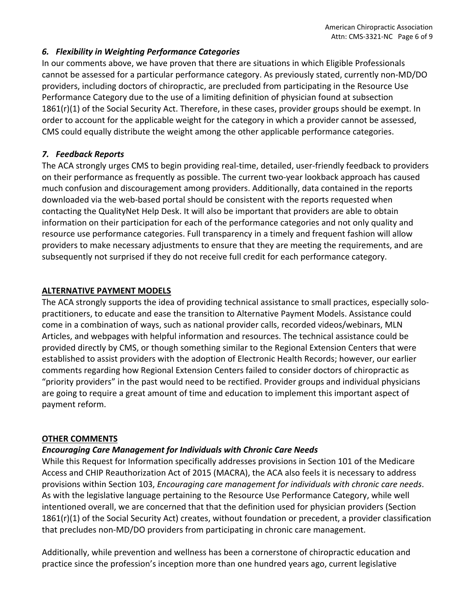### *6. Flexibility in Weighting Performance Categories*

In our comments above, we have proven that there are situations in which Eligible Professionals cannot be assessed for a particular performance category. As previously stated, currently non‐MD/DO providers, including doctors of chiropractic, are precluded from participating in the Resource Use Performance Category due to the use of a limiting definition of physician found at subsection 1861(r)(1) of the Social Security Act. Therefore, in these cases, provider groups should be exempt. In order to account for the applicable weight for the category in which a provider cannot be assessed, CMS could equally distribute the weight among the other applicable performance categories.

### *7. Feedback Reports*

The ACA strongly urges CMS to begin providing real‐time, detailed, user‐friendly feedback to providers on their performance as frequently as possible. The current two‐year lookback approach has caused much confusion and discouragement among providers. Additionally, data contained in the reports downloaded via the web‐based portal should be consistent with the reports requested when contacting the QualityNet Help Desk. It will also be important that providers are able to obtain information on their participation for each of the performance categories and not only quality and resource use performance categories. Full transparency in a timely and frequent fashion will allow providers to make necessary adjustments to ensure that they are meeting the requirements, and are subsequently not surprised if they do not receive full credit for each performance category.

## **ALTERNATIVE PAYMENT MODELS**

The ACA strongly supports the idea of providing technical assistance to small practices, especially solo‐ practitioners, to educate and ease the transition to Alternative Payment Models. Assistance could come in a combination of ways, such as national provider calls, recorded videos/webinars, MLN Articles, and webpages with helpful information and resources. The technical assistance could be provided directly by CMS, or though something similar to the Regional Extension Centers that were established to assist providers with the adoption of Electronic Health Records; however, our earlier comments regarding how Regional Extension Centers failed to consider doctors of chiropractic as "priority providers" in the past would need to be rectified. Provider groups and individual physicians are going to require a great amount of time and education to implement this important aspect of payment reform.

## **OTHER COMMENTS**

## *Encouraging Care Management for Individuals with Chronic Care Needs*

While this Request for Information specifically addresses provisions in Section 101 of the Medicare Access and CHIP Reauthorization Act of 2015 (MACRA), the ACA also feels it is necessary to address provisions within Section 103, *Encouraging care management for individuals with chronic care needs*. As with the legislative language pertaining to the Resource Use Performance Category, while well intentioned overall, we are concerned that that the definition used for physician providers (Section 1861(r)(1) of the Social Security Act) creates, without foundation or precedent, a provider classification that precludes non‐MD/DO providers from participating in chronic care management.

Additionally, while prevention and wellness has been a cornerstone of chiropractic education and practice since the profession's inception more than one hundred years ago, current legislative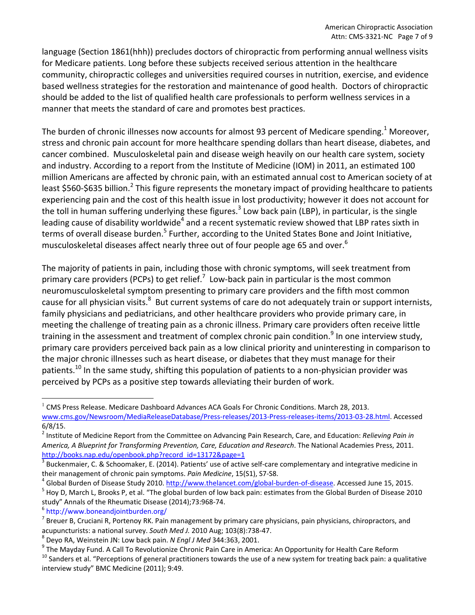language (Section 1861(hhh)) precludes doctors of chiropractic from performing annual wellness visits for Medicare patients. Long before these subjects received serious attention in the healthcare community, chiropractic colleges and universities required courses in nutrition, exercise, and evidence based wellness strategies for the restoration and maintenance of good health. Doctors of chiropractic should be added to the list of qualified health care professionals to perform wellness services in a manner that meets the standard of care and promotes best practices.

The burden of chronic illnesses now accounts for almost 93 percent of Medicare spending.<sup>1</sup> Moreover, stress and chronic pain account for more healthcare spending dollars than heart disease, diabetes, and cancer combined. Musculoskeletal pain and disease weigh heavily on our health care system, society and industry. According to a report from the Institute of Medicine (IOM) in 2011, an estimated 100 million Americans are affected by chronic pain, with an estimated annual cost to American society of at least \$560-\$635 billion.<sup>2</sup> This figure represents the monetary impact of providing healthcare to patients experiencing pain and the cost of this health issue in lost productivity; however it does not account for the toll in human suffering underlying these figures.<sup>3</sup> Low back pain (LBP), in particular, is the single leading cause of disability worldwide<sup>4</sup> and a recent systematic review showed that LBP rates sixth in terms of overall disease burden.<sup>5</sup> Further, according to the United States Bone and Joint Initiative, musculoskeletal diseases affect nearly three out of four people age 65 and over.<sup>6</sup>

The majority of patients in pain, including those with chronic symptoms, will seek treatment from primary care providers (PCPs) to get relief.<sup>7</sup> Low-back pain in particular is the most common neuromusculoskeletal symptom presenting to primary care providers and the fifth most common cause for all physician visits.<sup>8</sup> But current systems of care do not adequately train or support internists, family physicians and pediatricians, and other healthcare providers who provide primary care, in meeting the challenge of treating pain as a chronic illness. Primary care providers often receive little training in the assessment and treatment of complex chronic pain condition.<sup>9</sup> In one interview study, primary care providers perceived back pain as a low clinical priority and uninteresting in comparison to the major chronic illnesses such as heart disease, or diabetes that they must manage for their patients.<sup>10</sup> In the same study, shifting this population of patients to a non-physician provider was perceived by PCPs as a positive step towards alleviating their burden of work.

 $1$  CMS Press Release. Medicare Dashboard Advances ACA Goals For Chronic Conditions. March 28, 2013. www.cms.gov/Newsroom/MediaReleaseDatabase/Press‐releases/2013‐Press‐releases‐items/2013‐03‐28.html. Accessed 6/8/15.

<sup>2</sup> Institute of Medicine Report from the Committee on Advancing Pain Research, Care, and Education: *Relieving Pain in America, A Blueprint for Transforming Prevention, Care, Education and Research*. The National Academies Press, 2011. http://books.nap.edu/openbook.php?record\_id=13172&page=1<br>
<sup>3</sup> Buckenmaier, C. & Schoomaker, E. (2014). Patients' use of active self-care complementary and integrative medicine in

their management of chronic pain symptoms. Pain Medicine, 15(S1), S7-S8.<br><sup>4</sup> Global Burden of Disease Study 2010. http://www.thelancet.com/global-burden-of-disease. Accessed June 15, 2015.<br><sup>5</sup> Hoy D, March L, Brooks P, et

study" Annals of the Rheumatic Disease (2014);73:968-74.<br><sup>6</sup> http://www.boneandjointburden.org/<br><sup>7</sup> Breuer B, Cruciani R, Portenoy RK. Pain management by primary care physicians, pain physicians, chiropractors, and

acupuncturists: a national survey. South Med J. 2010 Aug; 103(8):738-47.<br><sup>8</sup> Deyo RA, Weinstein JN: Low back pain. N *Engl J Med* 344:363, 2001.<br><sup>9</sup> The Mayday Fund. A Call To Revolutionize Chronic Pain Care in America: An interview study" BMC Medicine (2011); 9:49.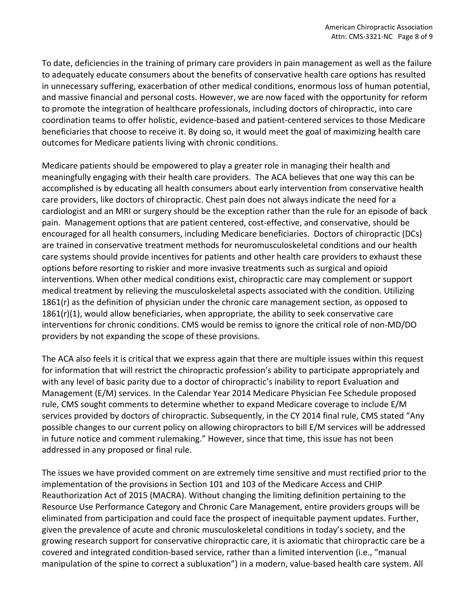To date, deficiencies in the training of primary care providers in pain management as well as the failure to adequately educate consumers about the benefits of conservative health care options has resulted in unnecessary suffering, exacerbation of other medical conditions, enormous loss of human potential, and massive financial and personal costs. However, we are now faced with the opportunity for reform to promote the integration of healthcare professionals, including doctors of chiropractic, into care coordination teams to offer holistic, evidence‐based and patient‐centered services to those Medicare beneficiaries that choose to receive it. By doing so, it would meet the goal of maximizing health care outcomes for Medicare patients living with chronic conditions.

Medicare patients should be empowered to play a greater role in managing their health and meaningfully engaging with their health care providers. The ACA believes that one way this can be accomplished is by educating all health consumers about early intervention from conservative health care providers, like doctors of chiropractic. Chest pain does not always indicate the need for a cardiologist and an MRI or surgery should be the exception rather than the rule for an episode of back pain. Management options that are patient centered, cost‐effective, and conservative, should be encouraged for all health consumers, including Medicare beneficiaries. Doctors of chiropractic (DCs) are trained in conservative treatment methods for neuromusculoskeletal conditions and our health care systems should provide incentives for patients and other health care providers to exhaust these options before resorting to riskier and more invasive treatments such as surgical and opioid interventions. When other medical conditions exist, chiropractic care may complement or support medical treatment by relieving the musculoskeletal aspects associated with the condition. Utilizing 1861(r) as the definition of physician under the chronic care management section, as opposed to  $1861(r)(1)$ , would allow beneficiaries, when appropriate, the ability to seek conservative care interventions for chronic conditions. CMS would be remiss to ignore the critical role of non‐MD/DO providers by not expanding the scope of these provisions.

The ACA also feels it is critical that we express again that there are multiple issues within this request for information that will restrict the chiropractic profession's ability to participate appropriately and with any level of basic parity due to a doctor of chiropractic's inability to report Evaluation and Management (E/M) services. In the Calendar Year 2014 Medicare Physician Fee Schedule proposed rule, CMS sought comments to determine whether to expand Medicare coverage to include E/M services provided by doctors of chiropractic. Subsequently, in the CY 2014 final rule, CMS stated "Any possible changes to our current policy on allowing chiropractors to bill E/M services will be addressed in future notice and comment rulemaking." However, since that time, this issue has not been addressed in any proposed or final rule.

The issues we have provided comment on are extremely time sensitive and must rectified prior to the implementation of the provisions in Section 101 and 103 of the Medicare Access and CHIP Reauthorization Act of 2015 (MACRA). Without changing the limiting definition pertaining to the Resource Use Performance Category and Chronic Care Management, entire providers groups will be eliminated from participation and could face the prospect of inequitable payment updates. Further, given the prevalence of acute and chronic musculoskeletal conditions in today's society, and the growing research support for conservative chiropractic care, it is axiomatic that chiropractic care be a covered and integrated condition‐based service, rather than a limited intervention (i.e., "manual manipulation of the spine to correct a subluxation") in a modern, value‐based health care system. All